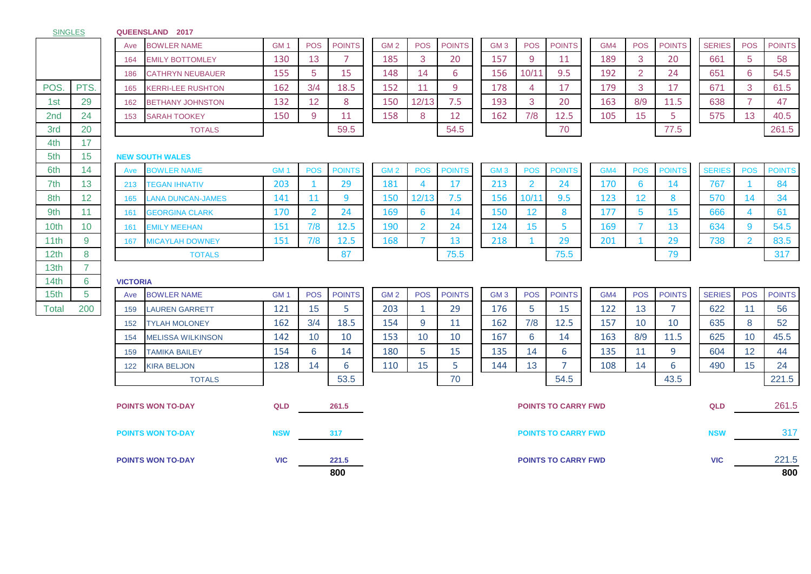## **QUEENSLAND 2017**

|                  |                |                        | Ave | <b>BOWLER NAME</b>       | GM <sub>1</sub> | <b>POS</b>     | <b>POINTS</b> | GM <sub>2</sub> | <b>POS</b>                 | <b>POINTS</b> | GM <sub>3</sub> | <b>POS</b>      | <b>POINTS</b>              | GM4 | <b>POS</b>      | <b>POINTS</b>  | <b>SERIES</b> | <b>POS</b>     | <b>POINTS</b> |
|------------------|----------------|------------------------|-----|--------------------------|-----------------|----------------|---------------|-----------------|----------------------------|---------------|-----------------|-----------------|----------------------------|-----|-----------------|----------------|---------------|----------------|---------------|
|                  |                |                        | 164 | <b>EMILY BOTTOMLEY</b>   | 130             | 13             | 7             | 185             | 3                          | 20            | 157             | 9               | 11                         | 189 | 3               | 20             | 661           | 5              | 58            |
|                  |                |                        | 186 | <b>CATHRYN NEUBAUER</b>  | 155             | 5              | 15            | 148             | 14                         | 6             | 156             | 10/11           | 9.5                        | 192 | $\overline{2}$  | 24             | 651           | 6              | 54.5          |
| POS.             | PTS.           |                        | 165 | <b>KERRI-LEE RUSHTON</b> | 162             | 3/4            | 18.5          | 152             | 11                         | 9             | 178             | 4               | 17                         | 179 | 3               | 17             | 671           | 3              | 61.5          |
| 1st              | 29             |                        | 162 | <b>BETHANY JOHNSTON</b>  | 132             | 12             | 8             | 150             | 12/13                      | 7.5           | 193             | 3               | 20                         | 163 | 8/9             | 11.5           | 638           | $\overline{7}$ | 47            |
| 2nd              | 24             |                        | 153 | <b>SARAH TOOKEY</b>      | 150             | 9              | 11            | 158             | 8                          | 12            | 162             | 7/8             | 12.5                       | 105 | 15              | 5              | 575           | 13             | 40.5          |
| 3rd              | 20             |                        |     | <b>TOTALS</b>            |                 |                | 59.5          |                 |                            | 54.5          |                 |                 | 70                         |     |                 | 77.5           |               |                | 261.5         |
| 4th              | 17             |                        |     |                          |                 |                |               |                 |                            |               |                 |                 |                            |     |                 |                |               |                |               |
| 5th              | 15             | <b>NEW SOUTH WALES</b> |     |                          |                 |                |               |                 |                            |               |                 |                 |                            |     |                 |                |               |                |               |
| 6th              | 14             |                        | Ave | <b>BOWLER NAME</b>       | GM <sub>1</sub> | <b>POS</b>     | <b>POINTS</b> | GM <sub>2</sub> | <b>POS</b>                 | <b>POINTS</b> | GM <sub>3</sub> | <b>POS</b>      | <b>POINTS</b>              | GM4 | <b>POS</b>      | <b>POINTS</b>  | <b>SERIES</b> | <b>POS</b>     | <b>POINTS</b> |
| 7th              | 13             |                        | 213 | <b>TEGAN IHNATIV</b>     | 203             | $\overline{1}$ | 29            | 181             | $\overline{4}$             | 17            | 213             | $\overline{2}$  | 24                         | 170 | 6               | 14             | 767           | -1             | 84            |
| 8th              | 12             |                        | 165 | <b>LANA DUNCAN-JAMES</b> | 141             | 11             | 9             | 150             | 12/13                      | 7.5           | 156             | 10/11           | 9.5                        | 123 | 12              | 8              | 570           | 14             | 34            |
| 9th              | 11             |                        | 161 | <b>GEORGINA CLARK</b>    | 170             | $\overline{2}$ | 24            | 169             | 6                          | 14            | 150             | 12 <sub>2</sub> | 8                          | 177 | $5\phantom{.0}$ | 15             | 666           | 4              | 61            |
| 10th             | 10             |                        | 161 | <b>EMILY MEEHAN</b>      | 151             | 7/8            | 12.5          | 190             | $\overline{2}$             | 24            | 124             | 15              | 5                          | 169 | $\overline{7}$  | 13             | 634           | 9              | 54.5          |
| 11th             | 9              |                        | 167 | <b>MICAYLAH DOWNEY</b>   | 151             | 7/8            | 12.5          | 168             | $\overline{7}$             | 13            | 218             |                 | 29                         | 201 |                 | 29             | 738           | $\overline{2}$ | 83.5          |
| 12th             | 8              |                        |     | <b>TOTALS</b>            |                 |                | 87            |                 |                            | 75.5          |                 |                 | 75.5                       |     |                 | 79             |               |                | 317           |
| 13th             | $\overline{7}$ |                        |     |                          |                 |                |               |                 |                            |               |                 |                 |                            |     |                 |                |               |                |               |
| 14th             | 6              | <b>VICTORIA</b>        |     |                          |                 |                |               |                 |                            |               |                 |                 |                            |     |                 |                |               |                |               |
| 15 <sub>th</sub> | $\overline{5}$ |                        | Ave | <b>BOWLER NAME</b>       | GM <sub>1</sub> | <b>POS</b>     | <b>POINTS</b> | GM <sub>2</sub> | <b>POS</b>                 | <b>POINTS</b> | GM <sub>3</sub> | <b>POS</b>      | <b>POINTS</b>              | GM4 | <b>POS</b>      | <b>POINTS</b>  | <b>SERIES</b> | <b>POS</b>     | <b>POINTS</b> |
| <b>Total</b>     | 200            |                        | 159 | <b>LAUREN GARRETT</b>    | 121             | 15             | 5             | 203             | -1                         | 29            | 176             | 5               | 15                         | 122 | 13              | $\overline{7}$ | 622           | 11             | 56            |
|                  |                |                        | 152 | <b>TYLAH MOLONEY</b>     | 162             | 3/4            | 18.5          | 154             | 9                          | 11            | 162             | 7/8             | 12.5                       | 157 | 10 <sup>°</sup> | 10             | 635           | 8              | 52            |
|                  |                |                        | 154 | <b>MELISSA WILKINSON</b> | 142             | 10             | 10            | 153             | 10                         | 10            | 167             | 6               | 14                         | 163 | 8/9             | 11.5           | 625           | 10             | 45.5          |
|                  |                |                        | 159 | <b>TAMIKA BAILEY</b>     | 154             | 6              | 14            | 180             | 5                          | 15            | 135             | 14              | 6                          | 135 | 11              | 9              | 604           | 12             | 44            |
|                  |                |                        | 122 | <b>KIRA BELJON</b>       | 128             | 14             | 6             | 110             | 15                         | 5             | 144             | 13              | $\overline{7}$             | 108 | 14              | 6              | 490           | 15             | 24            |
|                  |                |                        |     | <b>TOTALS</b>            |                 |                | 53.5          |                 |                            | 70            |                 |                 | 54.5                       |     |                 | 43.5           |               |                | 221.5         |
|                  |                |                        |     |                          |                 |                |               |                 |                            |               |                 |                 |                            |     |                 |                |               |                |               |
|                  |                |                        |     | <b>POINTS WON TO-DAY</b> | QLD             |                | 261.5         |                 |                            |               |                 |                 | <b>POINTS TO CARRY FWD</b> |     |                 |                | <b>QLD</b>    |                | 261.5         |
|                  |                |                        |     |                          |                 |                |               |                 |                            |               |                 |                 |                            |     |                 |                |               |                |               |
|                  |                |                        |     | <b>POINTS WON TO-DAY</b> | <b>NSW</b>      |                | 317           |                 | <b>POINTS TO CARRY FWD</b> |               |                 |                 |                            |     |                 |                |               |                | 317           |
|                  |                |                        |     |                          |                 |                |               |                 |                            |               |                 |                 |                            |     |                 |                |               |                |               |
|                  |                |                        |     | <b>POINTS WON TO-DAY</b> | <b>VIC</b>      |                | 221.5         |                 |                            |               |                 |                 | <b>POINTS TO CARRY FWD</b> |     |                 |                | <b>VIC</b>    |                | 221.5         |
|                  |                |                        |     |                          |                 |                | 800           |                 |                            |               |                 |                 |                            |     |                 |                |               |                | 800           |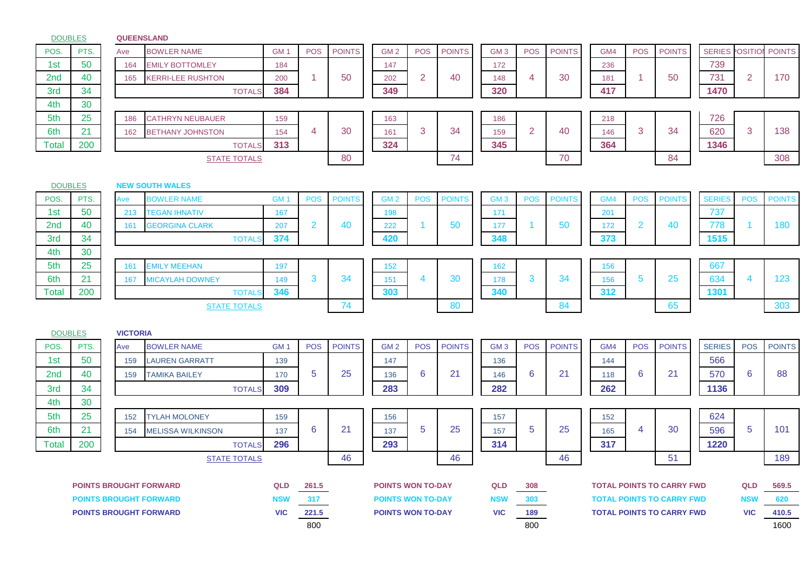|                 | <b>DOUBLES</b> |                 | <b>QUEENSLAND</b>             |                 |                |               |                          |                |               |                 |                                         |               |     |                |                                  |                        |                |               |
|-----------------|----------------|-----------------|-------------------------------|-----------------|----------------|---------------|--------------------------|----------------|---------------|-----------------|-----------------------------------------|---------------|-----|----------------|----------------------------------|------------------------|----------------|---------------|
| POS.            | PTS.           | Ave             | <b>BOWLER NAME</b>            | GM <sub>1</sub> | <b>POS</b>     | <b>POINTS</b> | GM <sub>2</sub>          | <b>POS</b>     | <b>POINTS</b> | GM <sub>3</sub> | <b>POS</b>                              | <b>POINTS</b> | GM4 | <b>POS</b>     | <b>POINTS</b>                    | <b>SERIES POSITION</b> |                | <b>POINTS</b> |
| 1st             | 50             | 164             | <b>EMILY BOTTOMLEY</b>        | 184             |                |               | 147                      |                |               | 172             |                                         |               | 236 |                |                                  | 739                    |                |               |
| 2 <sub>nd</sub> | 40             | 165             | <b>KERRI-LEE RUSHTON</b>      | 200             | 1              | 50            | 202                      | $\overline{2}$ | 40            | 148             | $\overline{4}$                          | 30            | 181 | -1             | 50                               | 731                    | $\overline{2}$ | 170           |
| 3rd             | 34             |                 | <b>TOTALS</b>                 | 384             |                |               | 349                      |                |               | 320             |                                         |               | 417 |                |                                  | 1470                   |                |               |
| 4th             | 30             |                 |                               |                 |                |               |                          |                |               |                 |                                         |               |     |                |                                  |                        |                |               |
| 5th             | 25             | 186             | <b>CATHRYN NEUBAUER</b>       | 159             |                |               | 163                      |                |               | 186             |                                         |               | 218 |                |                                  | 726                    |                |               |
| 6th             | 21             | 162             | <b>BETHANY JOHNSTON</b>       | 154             | 4              | 30            | 161                      | 3              | 34            | 159             | $\overline{2}$                          | 40            | 146 | 3              | 34                               | 620                    | 3              | 138           |
| Total           | 200            |                 | <b>TOTALS</b>                 | 313             |                |               | 324                      |                |               | 345             |                                         |               | 364 |                |                                  | 1346                   |                |               |
|                 |                |                 | <b>STATE TOTALS</b>           |                 |                | 80            |                          |                | 74            |                 |                                         | 70            |     |                | 84                               |                        |                | 308           |
|                 |                |                 |                               |                 |                |               |                          |                |               |                 |                                         |               |     |                |                                  |                        |                |               |
|                 | <b>DOUBLES</b> |                 | <b>NEW SOUTH WALES</b>        |                 |                |               |                          |                |               |                 |                                         |               |     |                |                                  |                        |                |               |
| POS.            | PTS.           | Ave             | <b>BOWLER NAME</b>            | GM <sub>1</sub> | <b>POS</b>     | <b>POINTS</b> | GM <sub>2</sub>          | <b>POS</b>     | <b>POINTS</b> | GM <sub>3</sub> | <b>POS</b>                              | <b>POINTS</b> | GM4 | <b>POS</b>     | <b>POINTS</b>                    | <b>SERIES</b>          | <b>POS</b>     | <b>POINTS</b> |
| 1st             | 50             | 213             | <b>TEGAN IHNATIV</b>          | 167             |                |               | 198                      |                |               | 171             |                                         |               | 201 |                |                                  | 737                    |                |               |
| 2 <sub>nd</sub> | 40             | 161             | <b>GEORGINA CLARK</b>         | 207             | $\overline{2}$ | 40            | 222                      | -1             | 50            | 177             | $\blacktriangleleft$                    | 50            | 172 | $\overline{2}$ | 40                               | 778                    | 1              | 180           |
| 3rd             | 34             |                 | <b>TOTALS</b>                 | 374             |                |               | 420                      |                |               | 348             |                                         |               | 373 |                |                                  | 1515                   |                |               |
| 4th             | 30             |                 |                               |                 |                |               |                          |                |               |                 |                                         |               |     |                |                                  |                        |                |               |
| 5th             | 25             | 161             | <b>EMILY MEEHAN</b>           | 197             |                |               | 152                      |                |               | 162             |                                         |               | 156 |                |                                  | 667                    |                |               |
| 6th             | 21             | 167             | <b>MICAYLAH DOWNEY</b>        | 149             | 3              | 34            | 151                      | 4              | 30            | 178             | 3                                       | 34            | 156 | 5              | 25                               | 634                    | 4              | 123           |
| <b>Total</b>    | 200            |                 | <b>TOTALS</b>                 | 346             |                |               | 303                      |                |               | 340             |                                         |               | 312 |                |                                  | 1301                   |                |               |
|                 |                |                 | <b>STATE TOTALS</b>           |                 |                | 74            |                          |                | 80            |                 |                                         | 84            |     |                | 65                               |                        |                | 303           |
|                 |                |                 |                               |                 |                |               |                          |                |               |                 |                                         |               |     |                |                                  |                        |                |               |
|                 | <b>DOUBLES</b> | <b>VICTORIA</b> |                               |                 |                |               |                          |                |               |                 |                                         |               |     |                |                                  |                        |                |               |
| POS.            | PTS.           | Ave             | <b>BOWLER NAME</b>            | GM <sub>1</sub> | <b>POS</b>     | <b>POINTS</b> | GM <sub>2</sub>          | <b>POS</b>     | <b>POINTS</b> | GM <sub>3</sub> | <b>POS</b>                              | <b>POINTS</b> | GM4 | <b>POS</b>     | <b>POINTS</b>                    | <b>SERIES</b>          | <b>POS</b>     | <b>POINTS</b> |
| 1st             | 50             | 159             | <b>LAUREN GARRATT</b>         | 139             |                |               | 147                      |                |               | 136             |                                         |               | 144 |                |                                  | 566                    |                |               |
| 2 <sub>nd</sub> | 40             | 159             | <b>TAMIKA BAILEY</b>          | 170             | 5              | 25            | 136                      | 6              | 21            | 146             | $\boldsymbol{6}$                        | 21            | 118 | 6              | 21                               | 570                    | 6              | 88            |
| 3rd             | 34             |                 | <b>TOTALS</b>                 | 309             |                |               | 283                      |                |               | 282             |                                         |               | 262 |                |                                  | 1136                   |                |               |
| 4th             | 30             |                 |                               |                 |                |               |                          |                |               |                 |                                         |               |     |                |                                  |                        |                |               |
| 5th             | 25             | 152             | <b>TYLAH MOLONEY</b>          | 159             |                |               | 156                      |                |               | 157             |                                         |               | 152 |                |                                  | 624                    |                |               |
| 6th             | 21             | 154             | <b>MELISSA WILKINSON</b>      | 137             | 6              | 21            | 137                      | 5              | 25            | 157             | $\overline{5}$                          | 25            | 165 | 4              | 30                               | 596                    | 5              | 101           |
| Total           | 200            |                 | <b>TOTALS</b>                 | 296             |                |               | 293                      |                |               | 314             |                                         |               | 317 |                |                                  | 1220                   |                |               |
|                 |                |                 | <b>STATE TOTALS</b>           |                 |                | 46            |                          |                | 46            |                 |                                         | 46            |     |                | 51                               |                        |                | 189           |
|                 |                |                 |                               |                 |                |               |                          |                |               |                 |                                         |               |     |                |                                  |                        |                |               |
|                 |                |                 | <b>POINTS BROUGHT FORWARD</b> | <b>QLD</b>      | 261.5          |               | <b>POINTS WON TO-DAY</b> |                |               | QLD             | 308                                     |               |     |                | <b>TOTAL POINTS TO CARRY FWD</b> |                        | QLD            | 569.5         |
|                 |                |                 | <b>POINTS BROUGHT FORWARD</b> | <b>NSW</b>      | 317            |               | <b>POINTS WON TO-DAY</b> |                |               | <b>NSW</b>      | 303<br><b>TOTAL POINTS TO CARRY FWD</b> |               |     |                |                                  |                        | <b>NSW</b>     | 620           |
|                 |                |                 | <b>POINTS BROUGHT FORWARD</b> | <b>VIC</b>      | 221.5          |               | <b>POINTS WON TO-DAY</b> |                |               | <b>VIC</b>      | 189                                     |               |     |                | <b>TOTAL POINTS TO CARRY FWD</b> |                        | <b>VIC</b>     | 410.5         |
|                 |                |                 |                               |                 | 800            |               |                          |                |               |                 | 800                                     |               |     |                |                                  |                        |                | 1600          |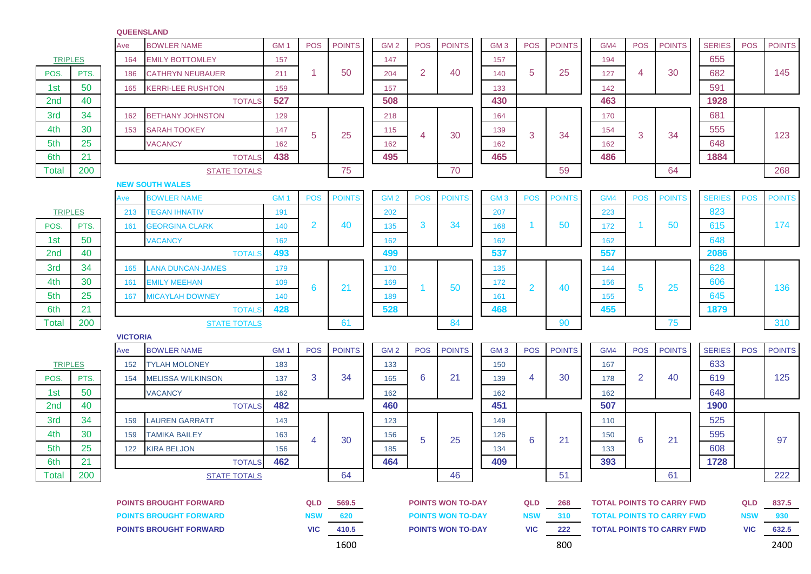## **QUEENSLAND**

|                               |      | Ave             | <b>BOWLER NAME</b>            | GM <sub>1</sub> | <b>POS</b>     | <b>POINTS</b> | GM <sub>2</sub> | <b>POS</b>     | <b>POINTS</b>            | GM <sub>3</sub> | <b>POS</b>     | <b>POINTS</b> | GM4                              | <b>POS</b> | <b>POINTS</b>                    | <b>SERIES</b> | <b>POS</b> | <b>POINTS</b> |
|-------------------------------|------|-----------------|-------------------------------|-----------------|----------------|---------------|-----------------|----------------|--------------------------|-----------------|----------------|---------------|----------------------------------|------------|----------------------------------|---------------|------------|---------------|
| <b>TRIPLES</b>                |      | 164             | <b>EMILY BOTTOMLEY</b>        | 157             |                |               | 147             |                |                          | 157             |                |               | 194                              |            |                                  | 655           |            |               |
| POS.                          | PTS. | 186             | <b>CATHRYN NEUBAUER</b>       | 211             | 1              | 50            | 204             | $\overline{2}$ | 40                       | 140             | 5              | 25            | 127                              | 4          | 30                               | 682           |            | 145           |
| 1st                           | 50   | 165             | <b>KERRI-LEE RUSHTON</b>      | 159             |                |               | 157             |                |                          | 133             |                |               | 142                              |            |                                  | 591           |            |               |
| 2nd                           | 40   |                 | <b>TOTALS</b>                 | 527             |                |               | 508             |                |                          | 430             |                |               | 463                              |            |                                  | 1928          |            |               |
| 3rd                           | 34   | 162             | <b>BETHANY JOHNSTON</b>       | 129             |                |               | 218             |                |                          | 164             |                |               | 170                              |            |                                  | 681           |            |               |
| 4th                           | 30   | 153             | <b>SARAH TOOKEY</b>           | 147             | 5              | 25            | 115             | 4              | 30                       | 139             | 3              | 34            | 154                              | 3          | 34                               | 555           |            | 123           |
| 5th                           | 25   |                 | <b>VACANCY</b>                | 162             |                |               | 162             |                |                          | 162             |                |               | 162                              |            |                                  | 648           |            |               |
| 6th                           | 21   |                 | <b>TOTALS</b>                 | 438             |                |               | 495             |                |                          | 465             |                |               | 486                              |            |                                  | 1884          |            |               |
| <b>Total</b>                  | 200  |                 | <b>STATE TOTALS</b>           |                 |                | 75            |                 |                | 70                       |                 |                | 59            |                                  |            | 64                               |               |            | 268           |
|                               |      |                 | <b>NEW SOUTH WALES</b>        |                 |                |               |                 |                |                          |                 |                |               |                                  |            |                                  |               |            |               |
|                               |      | Ave             | <b>BOWLER NAME</b>            | GM <sub>1</sub> | <b>POS</b>     | <b>POINTS</b> | GM <sub>2</sub> | <b>POS</b>     | <b>POINTS</b>            | GM <sub>3</sub> | <b>POS</b>     | <b>POINTS</b> | GM4                              | <b>POS</b> | <b>POINTS</b>                    | <b>SERIES</b> | <b>POS</b> | <b>POINTS</b> |
| <b>TRIPLES</b>                |      | 213             | <b>TEGAN IHNATIV</b>          | 191             |                |               | 202             |                |                          | 207             |                |               | 223                              |            |                                  | 823           |            |               |
| POS.                          | PTS. | 161             | <b>GEORGINA CLARK</b>         | 140             | 2              | 40            | 135             | 3              | 34                       | 168             |                | 50            | 172                              |            | 50                               | 615           |            | 174           |
| 1st                           | 50   |                 | <b>VACANCY</b>                | 162             |                |               | 162             |                |                          | 162             |                |               | 162                              |            |                                  | 648           |            |               |
| 2nd                           | 40   |                 | <b>TOTALS</b>                 | 493             |                |               | 499             |                |                          | 537             |                |               | 557                              |            |                                  | 2086          |            |               |
| 3rd                           | 34   | 165             | <b>LANA DUNCAN-JAMES</b>      | 179             |                |               | 170             |                |                          | 135             |                |               | 144                              |            |                                  | 628           |            |               |
| 4th                           | 30   | 161             | <b>EMILY MEEHAN</b>           | 109             | 6              | 21            | 169             | 1              | 50                       | 172             | $\overline{2}$ | 40            | 156                              | 5          | 25                               | 606           |            | 136           |
| 5th                           | 25   | 167             | <b>MICAYLAH DOWNEY</b>        | 140             |                |               | 189             |                |                          | 161             |                |               | 155                              |            |                                  | 645           |            |               |
| 6th                           | 21   |                 | <b>TOTALS</b>                 | 428             |                |               | 528             |                |                          | 468             |                |               | 455                              |            |                                  | 1879          |            |               |
| Total                         | 200  |                 | <b>STATE TOTALS</b>           |                 |                | 61            |                 |                | 84                       |                 |                | 90            |                                  |            | 75                               |               |            | 310           |
|                               |      | <b>VICTORIA</b> |                               |                 |                |               |                 |                |                          |                 |                |               |                                  |            |                                  |               |            |               |
|                               |      | Ave             | <b>BOWLER NAME</b>            | GM <sub>1</sub> | <b>POS</b>     | <b>POINTS</b> | GM <sub>2</sub> | <b>POS</b>     | <b>POINTS</b>            | GM <sub>3</sub> | <b>POS</b>     | <b>POINTS</b> | GM4                              | <b>POS</b> | <b>POINTS</b>                    | <b>SERIES</b> | <b>POS</b> | <b>POINTS</b> |
| <b>TRIPLES</b>                |      | 152             | <b>TYLAH MOLONEY</b>          | 183             |                |               | 133             |                |                          | 150             |                |               | 167                              |            |                                  | 633           |            |               |
| POS.                          | PTS. | 154             | <b>MELISSA WILKINSON</b>      | 137             | 3              | 34            | 165             | 6              | 21                       | 139             | 4              | 30            | 178                              | 2          | 40                               | 619           |            | 125           |
| 1st                           | 50   |                 | <b>VACANCY</b>                | 162             |                |               | 162             |                |                          | 162             |                |               | 162                              |            |                                  | 648           |            |               |
| 2nd                           | 40   |                 | <b>TOTALS</b>                 | 482             |                |               | 460             |                |                          | 451             |                |               | 507                              |            |                                  | 1900          |            |               |
| 3rd                           | 34   | 159             | <b>LAUREN GARRATT</b>         | 143             |                |               | 123             |                |                          | 149             |                |               | 110                              |            |                                  | 525           |            |               |
| 4th                           | 30   | 159             | <b>TAMIKA BAILEY</b>          | 163             | $\overline{4}$ | 30            | 156             | 5              | 25                       | 126             | 6              | 21            | 150                              | 6          | 21                               | 595           |            | 97            |
| 5th                           | 25   | 122             | <b>KIRA BELJON</b>            | 156             |                |               | 185             |                |                          | 134             |                |               | 133                              |            |                                  | 608           |            |               |
| 6th                           | 21   |                 | <b>TOTALS</b>                 | 462             |                |               | 464             |                |                          | 409             |                |               | 393                              |            |                                  | 1728          |            |               |
| Total                         | 200  |                 | <b>STATE TOTALS</b>           |                 |                | 64            |                 |                | 46                       |                 |                | 51            |                                  |            | 61                               |               |            | 222           |
|                               |      |                 |                               |                 |                |               |                 |                |                          |                 |                |               |                                  |            |                                  |               |            |               |
| <b>POINTS BROUGHT FORWARD</b> |      |                 |                               |                 | QLD            | 569.5         |                 |                | <b>POINTS WON TO-DAY</b> |                 | <b>QLD</b>     | 268           | <b>TOTAL POINTS TO CARRY FWD</b> |            |                                  | QLD           | 837.5      |               |
|                               |      |                 | <b>POINTS BROUGHT FORWARD</b> |                 | <b>NSW</b>     | 620           |                 |                | <b>POINTS WON TO-DAY</b> |                 | <b>NSW</b>     | 310           |                                  |            | <b>TOTAL POINTS TO CARRY FWD</b> |               | <b>NSW</b> | 930           |
|                               |      |                 | <b>POINTS BROUGHT FORWARD</b> |                 | <b>VIC</b>     | 410.5         |                 |                | <b>POINTS WON TO-DAY</b> |                 | <b>VIC</b>     | 222           | <b>TOTAL POINTS TO CARRY FWD</b> |            |                                  | <b>VIC</b>    | 632.5      |               |
|                               |      |                 |                               |                 |                | 1600          |                 |                |                          |                 |                | 800           |                                  |            |                                  |               |            | 2400          |